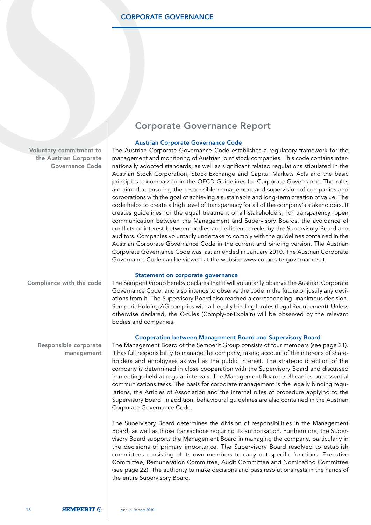Voluntary commitment to the Austrian Corporate Governance Code

### Corporate Governance Report

#### Austrian Corporate Governance Code

The Austrian Corporate Governance Code establishes a regulatory framework for the management and monitoring of Austrian joint stock companies. This code contains internationally adopted standards, as well as significant related regulations stipulated in the Austrian Stock Corporation, Stock Exchange and Capital Markets Acts and the basic principles encompassed in the OECD Guidelines for Corporate Governance. The rules are aimed at ensuring the responsible management and supervision of companies and corporations with the goal of achieving a sustainable and long-term creation of value. The code helps to create a high level of transparency for all of the company's stakeholders. It creates guidelines for the equal treatment of all stakeholders, for transparency, open communication between the Management and Supervisory Boards, the avoidance of conflicts of interest between bodies and efficient checks by the Supervisory Board and auditors. Companies voluntarily undertake to comply with the guidelines contained in the Austrian Corporate Governance Code in the current and binding version. The Austrian Corporate Governance Code was last amended in January 2010. The Austrian Corporate Governance Code can be viewed at the website www.corporate-governance.at.

#### Statement on corporate governance

The Semperit Group hereby declares that it will voluntarily observe the Austrian Corporate Governance Code, and also intends to observe the code in the future or justify any deviations from it. The Supervisory Board also reached a corresponding unanimous decision. Semperit Holding AG complies with all legally binding L-rules (Legal Requirement). Unless otherwise declared, the C-rules (Comply-or-Explain) will be observed by the relevant bodies and companies.

#### Cooperation between Management Board and Supervisory Board

The Management Board of the Semperit Group consists of four members (see page 21). It has full responsibility to manage the company, taking account of the interests of shareholders and employees as well as the public interest. The strategic direction of the company is determined in close cooperation with the Supervisory Board and discussed in meetings held at regular intervals. The Management Board itself carries out essential communications tasks. The basis for corporate management is the legally binding regulations, the Articles of Association and the internal rules of procedure applying to the Supervisory Board. In addition, behavioural guidelines are also contained in the Austrian Corporate Governance Code.

The Supervisory Board determines the division of responsibilities in the Management Board, as well as those transactions requiring its authorisation. Furthermore, the Supervisory Board supports the Management Board in managing the company, particularly in the decisions of primary importance. The Supervisory Board resolved to establish committees consisting of its own members to carry out specific functions: Executive Committee, Remuneration Committee, Audit Committee and Nominating Committee (see page 22). The authority to make decisions and pass resolutions rests in the hands of the entire Supervisory Board.

Compliance with the code

Responsible corporate management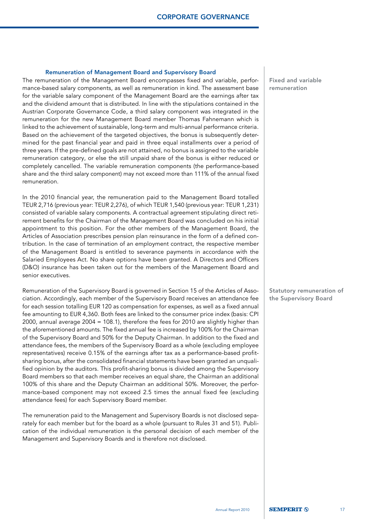#### Remuneration of Management Board and Supervisory Board

The remuneration of the Management Board encompasses fixed and variable, performance-based salary components, as well as remuneration in kind. The assessment base for the variable salary component of the Management Board are the earnings after tax and the dividend amount that is distributed. In line with the stipulations contained in the Austrian Corporate Governance Code, a third salary component was integrated in the remuneration for the new Management Board member Thomas Fahnemann which is linked to the achievement of sustainable, long-term and multi-annual performance criteria. Based on the achievement of the targeted objectives, the bonus is subsequently determined for the past financial year and paid in three equal installments over a period of three years. If the pre-defined goals are not attained, no bonus is assigned to the variable remuneration category, or else the still unpaid share of the bonus is either reduced or completely cancelled. The variable remuneration components (the performance-based share and the third salary component) may not exceed more than 111% of the annual fixed remuneration.

In the 2010 financial year, the remuneration paid to the Management Board totalled TEUR 2,716 (previous year: TEUR 2,276), of which TEUR 1,540 (previous year: TEUR 1,231) consisted of variable salary components. A contractual agreement stipulating direct retirement benefits for the Chairman of the Management Board was concluded on his initial appointment to this position. For the other members of the Management Board, the Articles of Association prescribes pension plan reinsurance in the form of a defined contribution. In the case of termination of an employment contract, the respective member of the Management Board is entitled to severance payments in accordance with the Salaried Employees Act. No share options have been granted. A Directors and Officers (D&O) insurance has been taken out for the members of the Management Board and senior executives.

Remuneration of the Supervisory Board is governed in Section 15 of the Articles of Association. Accordingly, each member of the Supervisory Board receives an attendance fee for each session totalling EUR 120 as compensation for expenses, as well as a fixed annual fee amounting to EUR 4,360. Both fees are linked to the consumer price index (basis: CPI 2000, annual average 2004 = 108.1), therefore the fees for 2010 are slightly higher than the aforementioned amounts. The fixed annual fee is increased by 100% for the Chairman of the Supervisory Board and 50% for the Deputy Chairman. In addition to the fixed and attendance fees, the members of the Supervisory Board as a whole (excluding employee representatives) receive 0.15% of the earnings after tax as a performance-based profitsharing bonus, after the consolidated financial statements have been granted an unqualified opinion by the auditors. This profit-sharing bonus is divided among the Supervisory Board members so that each member receives an equal share, the Chairman an additional 100% of this share and the Deputy Chairman an additional 50%. Moreover, the performance-based component may not exceed 2.5 times the annual fixed fee (excluding attendance fees) for each Supervisory Board member.

The remuneration paid to the Management and Supervisory Boards is not disclosed separately for each member but for the board as a whole (pursuant to Rules 31 and 51). Publication of the individual remuneration is the personal decision of each member of the Management and Supervisory Boards and is therefore not disclosed.

Fixed and variable remuneration

Statutory remuneration of the Supervisory Board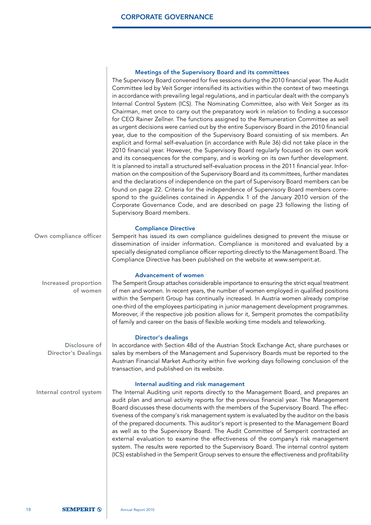### Meetings of the Supervisory Board and its committees

|                                             | The Supervisory Board convened for five sessions during the 2010 financial year. The Audit<br>Committee led by Veit Sorger intensified its activities within the context of two meetings<br>in accordance with prevailing legal regulations, and in particular dealt with the company's<br>Internal Control System (ICS). The Nominating Committee, also with Veit Sorger as its<br>Chairman, met once to carry out the preparatory work in relation to finding a successor<br>for CEO Rainer Zellner. The functions assigned to the Remuneration Committee as well<br>as urgent decisions were carried out by the entire Supervisory Board in the 2010 financial<br>year, due to the composition of the Supervisory Board consisting of six members. An<br>explicit and formal self-evaluation (in accordance with Rule 36) did not take place in the<br>2010 financial year. However, the Supervisory Board regularly focused on its own work<br>and its consequences for the company, and is working on its own further development.<br>It is planned to install a structured self-evaluation process in the 2011 financial year. Infor-<br>mation on the composition of the Supervisory Board and its committees, further mandates<br>and the declarations of independence on the part of Supervisory Board members can be<br>found on page 22. Criteria for the independence of Supervisory Board members corre-<br>spond to the guidelines contained in Appendix 1 of the January 2010 version of the<br>Corporate Governance Code, and are described on page 23 following the listing of<br>Supervisory Board members. |
|---------------------------------------------|-------------------------------------------------------------------------------------------------------------------------------------------------------------------------------------------------------------------------------------------------------------------------------------------------------------------------------------------------------------------------------------------------------------------------------------------------------------------------------------------------------------------------------------------------------------------------------------------------------------------------------------------------------------------------------------------------------------------------------------------------------------------------------------------------------------------------------------------------------------------------------------------------------------------------------------------------------------------------------------------------------------------------------------------------------------------------------------------------------------------------------------------------------------------------------------------------------------------------------------------------------------------------------------------------------------------------------------------------------------------------------------------------------------------------------------------------------------------------------------------------------------------------------------------------------------------------------------------------------------------------------|
| Own compliance officer                      | <b>Compliance Directive</b><br>Semperit has issued its own compliance guidelines designed to prevent the misuse or<br>dissemination of insider information. Compliance is monitored and evaluated by a<br>specially designated compliance officer reporting directly to the Management Board. The<br>Compliance Directive has been published on the website at www.semperit.at.                                                                                                                                                                                                                                                                                                                                                                                                                                                                                                                                                                                                                                                                                                                                                                                                                                                                                                                                                                                                                                                                                                                                                                                                                                               |
| Increased proportion<br>of women            | <b>Advancement of women</b><br>The Semperit Group attaches considerable importance to ensuring the strict equal treatment<br>of men and women. In recent years, the number of women employed in qualified positions<br>within the Semperit Group has continually increased. In Austria women already comprise<br>one-third of the employees participating in junior management development programmes.<br>Moreover, if the respective job position allows for it, Semperit promotes the compatibility<br>of family and career on the basis of flexible working time models and teleworking.                                                                                                                                                                                                                                                                                                                                                                                                                                                                                                                                                                                                                                                                                                                                                                                                                                                                                                                                                                                                                                   |
| Disclosure of<br><b>Director's Dealings</b> | <b>Director's dealings</b><br>In accordance with Section 48d of the Austrian Stock Exchange Act, share purchases or<br>sales by members of the Management and Supervisory Boards must be reported to the<br>Austrian Financial Market Authority within five working days following conclusion of the<br>transaction, and published on its website.                                                                                                                                                                                                                                                                                                                                                                                                                                                                                                                                                                                                                                                                                                                                                                                                                                                                                                                                                                                                                                                                                                                                                                                                                                                                            |
| Internal control system                     | Internal auditing and risk management<br>The Internal Auditing unit reports directly to the Management Board, and prepares an<br>audit plan and annual activity reports for the previous financial year. The Management<br>Board discusses these documents with the members of the Supervisory Board. The effec-<br>tiveness of the company's risk management system is evaluated by the auditor on the basis<br>of the prepared documents. This auditor's report is presented to the Management Board<br>as well as to the Supervisory Board. The Audit Committee of Semperit contracted an<br>external evaluation to examine the effectiveness of the company's risk management<br>system. The results were reported to the Supervisory Board. The internal control system<br>(ICS) established in the Semperit Group serves to ensure the effectiveness and profitability                                                                                                                                                                                                                                                                                                                                                                                                                                                                                                                                                                                                                                                                                                                                                  |
|                                             |                                                                                                                                                                                                                                                                                                                                                                                                                                                                                                                                                                                                                                                                                                                                                                                                                                                                                                                                                                                                                                                                                                                                                                                                                                                                                                                                                                                                                                                                                                                                                                                                                               |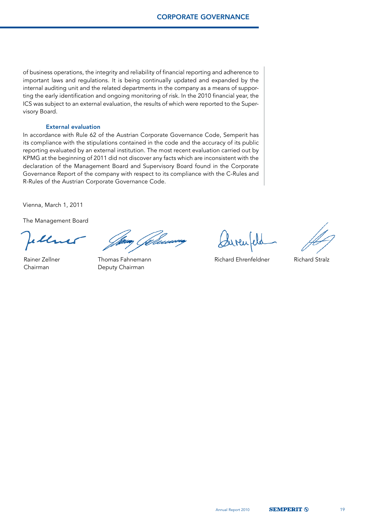of business operations, the integrity and reliability of financial reporting and adherence to important laws and regulations. It is being continually updated and expanded by the internal auditing unit and the related departments in the company as a means of supporting the early identification and ongoing monitoring of risk. In the 2010 financial year, the ICS was subject to an external evaluation, the results of which were reported to the Supervisory Board.

#### External evaluation

In accordance with Rule 62 of the Austrian Corporate Governance Code, Semperit has its compliance with the stipulations contained in the code and the accuracy of its public reporting evaluated by an external institution. The most recent evaluation carried out by KPMG at the beginning of 2011 did not discover any facts which are inconsistent with the declaration of the Management Board and Supervisory Board found in the Corporate Governance Report of the company with respect to its compliance with the C-Rules and R-Rules of the Austrian Corporate Governance Code.

Vienna, March 1, 2011

The Management Board

Chairman Deputy Chairman

Rainer Zellner Thomas Fahnemann ann ann an Richard Ehrenfeldner Richard Stralz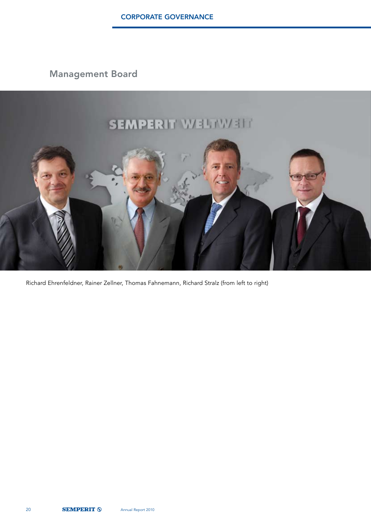Management Board



Richard Ehrenfeldner, Rainer Zellner, Thomas Fahnemann, Richard Stralz (from left to right)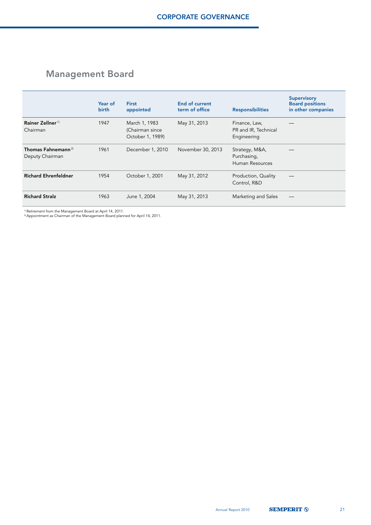# Management Board

|                                                   | Year of<br>birth | <b>First</b><br>appointed                            | End of current<br>term of office | <b>Responsibilities</b>                              | <b>Supervisory</b><br><b>Board positions</b><br>in other companies |
|---------------------------------------------------|------------------|------------------------------------------------------|----------------------------------|------------------------------------------------------|--------------------------------------------------------------------|
| Rainer Zellner <sup>1)</sup><br>Chairman          | 1947             | March 1, 1983<br>(Chairman since<br>October 1, 1989) | May 31, 2013                     | Finance, Law,<br>PR and IR, Technical<br>Engineering |                                                                    |
| Thomas Fahnemann <sup>2)</sup><br>Deputy Chairman | 1961             | December 1, 2010                                     | November 30, 2013                | Strategy, M&A,<br>Purchasing,<br>Human Resources     |                                                                    |
| <b>Richard Ehrenfeldner</b>                       | 1954             | October 1, 2001                                      | May 31, 2012                     | Production, Quality<br>Control, R&D                  |                                                                    |
| <b>Richard Stralz</b>                             | 1963             | June 1, 2004                                         | May 31, 2013                     | Marketing and Sales                                  |                                                                    |

<sup>1)</sup> Retirement from the Management Board at April 14, 2011.<br><sup>2)</sup> Appointment as Chairman of the Management Board planned for April 14, 2011.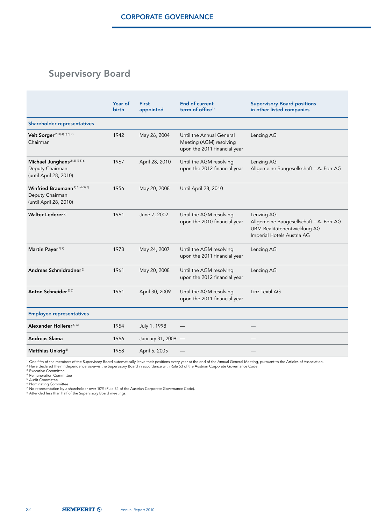# Supervisory Board

|                                                                                          | Year of<br>birth | <b>First</b><br>appointed | <b>End of current</b><br>term of office <sup>1)</sup>                               | <b>Supervisory Board positions</b><br>in other listed companies                                                     |
|------------------------------------------------------------------------------------------|------------------|---------------------------|-------------------------------------------------------------------------------------|---------------------------------------------------------------------------------------------------------------------|
| <b>Shareholder representatives</b>                                                       |                  |                           |                                                                                     |                                                                                                                     |
| Veit Sorger <sup>2) 3) 4) 5) 6) 7)</sup><br>Chairman                                     | 1942             | May 26, 2004              | Until the Annual General<br>Meeting (AGM) resolving<br>upon the 2011 financial year | Lenzing AG                                                                                                          |
| Michael Junghans <sup>2) 3) 4) 5) 6)</sup><br>Deputy Chairman<br>(until April 28, 2010)  | 1967             | April 28, 2010            | Until the AGM resolving<br>upon the 2012 financial year                             | Lenzing AG<br>Allgemeine Baugesellschaft - A. Porr AG                                                               |
| Winfried Braumann <sup>2) 3) 4) 5) 6)</sup><br>Deputy Chairman<br>(until April 28, 2010) | 1956             | May 20, 2008              | Until April 28, 2010                                                                |                                                                                                                     |
| Walter Lederer <sup>2)</sup>                                                             | 1961             | June 7, 2002              | Until the AGM resolving<br>upon the 2010 financial year                             | Lenzing AG<br>Allgemeine Baugesellschaft - A. Porr AG<br>UBM Realitätenentwicklung AG<br>Imperial Hotels Austria AG |
| Martin Payer <sup>2) 7)</sup>                                                            | 1978             | May 24, 2007              | Until the AGM resolving<br>upon the 2011 financial year                             | Lenzing AG                                                                                                          |
| Andreas Schmidradner <sup>2)</sup>                                                       | 1961             | May 20, 2008              | Until the AGM resolving<br>upon the 2012 financial year                             | Lenzing AG                                                                                                          |
| Anton Schneider <sup>2) 7)</sup>                                                         | 1951             | April 30, 2009            | Until the AGM resolving<br>upon the 2011 financial year                             | Linz Textil AG                                                                                                      |
| <b>Employee representatives</b>                                                          |                  |                           |                                                                                     |                                                                                                                     |
| Alexander Hollerer <sup>5) 6)</sup>                                                      | 1954             | July 1, 1998              |                                                                                     |                                                                                                                     |
| <b>Andreas Slama</b>                                                                     | 1966             | January 31, 2009 -        |                                                                                     |                                                                                                                     |
| Matthias Unkrig <sup>8)</sup>                                                            | 1968             | April 5, 2005             |                                                                                     |                                                                                                                     |

" One fifth of the members of the Supervisory Board automatically leave their positions every year at the end of the Annual General Meeting, pursuant to the Articles of Association.<br>य Have declared their independence vis

<sup>4)</sup> Remuneration Committee<br><sup>5)</sup> Audit Committee<br><sup>4)</sup> Nominating Committee<br><sup>7)</sup> No representation by a shareholder over 10% (Rule 54 of the Austrian Corporate Governance Code).<br><sup>7)</sup> No representation by a shareholder over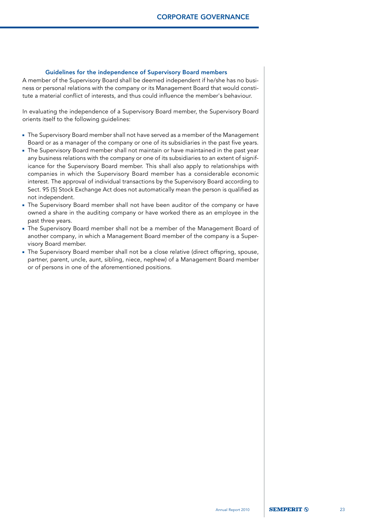#### Guidelines for the independence of Supervisory Board members

A member of the Supervisory Board shall be deemed independent if he/she has no business or personal relations with the company or its Management Board that would constitute a material conflict of interests, and thus could influence the member's behaviour.

In evaluating the independence of a Supervisory Board member, the Supervisory Board orients itself to the following guidelines:

- The Supervisory Board member shall not have served as a member of the Management Board or as a manager of the company or one of its subsidiaries in the past five years.
- The Supervisory Board member shall not maintain or have maintained in the past year any business relations with the company or one of its subsidiaries to an extent of significance for the Supervisory Board member. This shall also apply to relationships with companies in which the Supervisory Board member has a considerable economic interest. The approval of individual transactions by the Supervisory Board according to Sect. 95 (5) Stock Exchange Act does not automatically mean the person is qualified as not independent.
- The Supervisory Board member shall not have been auditor of the company or have owned a share in the auditing company or have worked there as an employee in the past three years.
- The Supervisory Board member shall not be a member of the Management Board of another company, in which a Management Board member of the company is a Supervisory Board member.
- The Supervisory Board member shall not be a close relative (direct offspring, spouse, partner, parent, uncle, aunt, sibling, niece, nephew) of a Management Board member or of persons in one of the aforementioned positions.